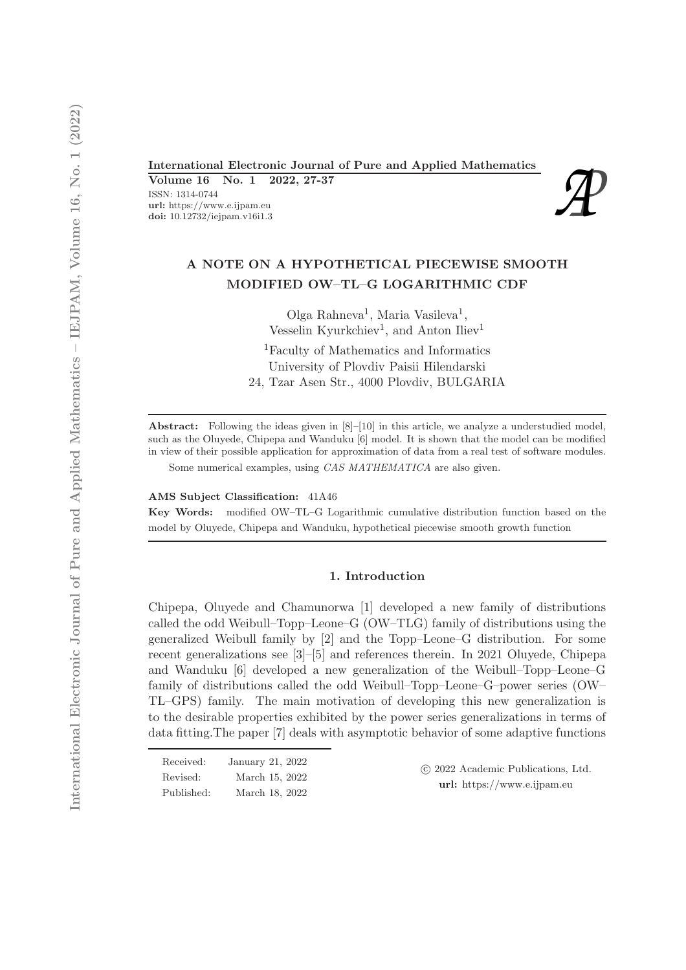International Electronic Journal of Pure and Applied Mathematics<br>
Volume 16 No. 1 2022, 27-37<br>
ISSN: 1314-0744<br>
url: https://www.e.ijpam.eu<br>
doi: 10.12732/iejpam.v16i1.3 Volume 16 No. 1 2022, 27-37 ISSN: 1314-0744 url: https://www.e.ijpam.eu



# A NOTE ON A HYPOTHETICAL PIECEWISE SMOOTH MODIFIED OW–TL–G LOGARITHMIC CDF

Olga Rahneva<sup>1</sup>, Maria Vasileva<sup>1</sup>, Vesselin Kyurkchiev<sup>1</sup>, and Anton Iliev<sup>1</sup>

<sup>1</sup>Faculty of Mathematics and Informatics University of Plovdiv Paisii Hilendarski 24, Tzar Asen Str., 4000 Plovdiv, BULGARIA

Abstract: Following the ideas given in [8]–[10] in this article, we analyze a understudied model, such as the Oluyede, Chipepa and Wanduku [6] model. It is shown that the model can be modified in view of their possible application for approximation of data from a real test of software modules. Some numerical examples, using CAS MATHEMATICA are also given.

AMS Subject Classification: 41A46

Key Words: modified OW–TL–G Logarithmic cumulative distribution function based on the model by Oluyede, Chipepa and Wanduku, hypothetical piecewise smooth growth function

### 1. Introduction

Chipepa, Oluyede and Chamunorwa [1] developed a new family of distributions called the odd Weibull–Topp–Leone–G (OW–TLG) family of distributions using the generalized Weibull family by [2] and the Topp–Leone–G distribution. For some recent generalizations see [3]–[5] and references therein. In 2021 Oluyede, Chipepa and Wanduku [6] developed a new generalization of the Weibull–Topp–Leone–G family of distributions called the odd Weibull–Topp–Leone–G–power series (OW– TL–GPS) family. The main motivation of developing this new generalization is to the desirable properties exhibited by the power series generalizations in terms of data fitting.The paper [7] deals with asymptotic behavior of some adaptive functions

| Received:  | January 21, 2022 |
|------------|------------------|
| Revised:   | March 15, 2022   |
| Published: | March 18, 2022   |

 c 2022 Academic Publications, Ltd. url: https://www.e.ijpam.eu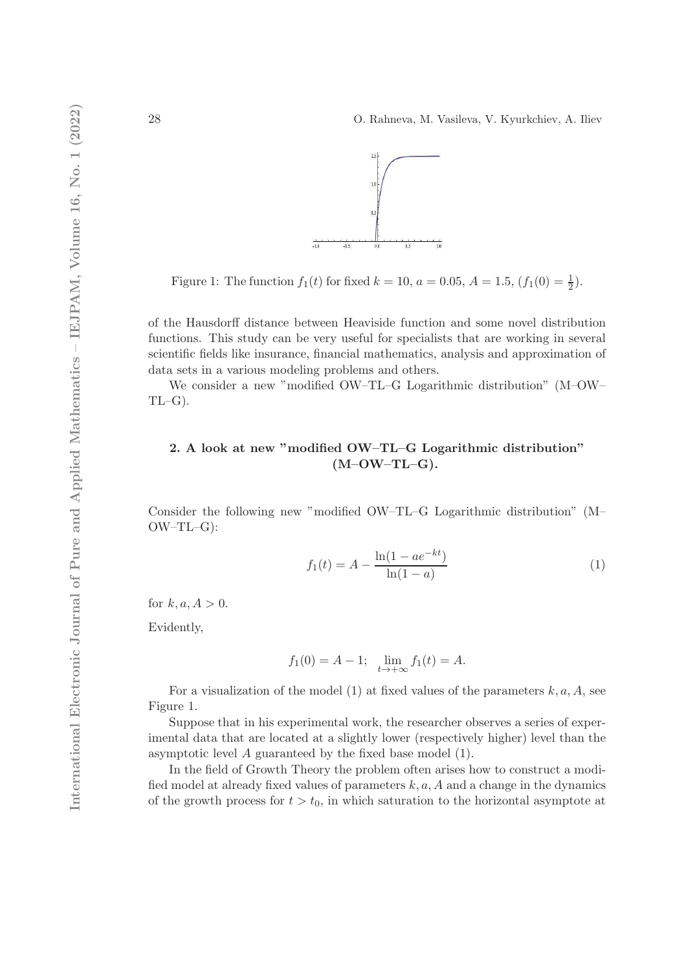

Figure 1: The function  $f_1(t)$  for fixed  $k = 10$ ,  $a = 0.05$ ,  $A = 1.5$ ,  $(f_1(0) = \frac{1}{2})$ .

of the Hausdorff distance between Heaviside function and some novel distribution functions. This study can be very useful for specialists that are working in several scientific fields like insurance, financial mathematics, analysis and approximation of data sets in a various modeling problems and others.

We consider a new "modified OW–TL–G Logarithmic distribution" (M–OW–  $TL-G$ ).

# 2. A look at new "modified OW–TL–G Logarithmic distribution"  $(M-OW-TL-G).$

Consider the following new "modified OW–TL–G Logarithmic distribution" (M– OW–TL–G):

$$
f_1(t) = A - \frac{\ln(1 - ae^{-kt})}{\ln(1 - a)}
$$
(1)

for  $k, a, A > 0$ .

Evidently,

$$
f_1(0) = A - 1;
$$
  $\lim_{t \to +\infty} f_1(t) = A.$ 

For a visualization of the model (1) at fixed values of the parameters  $k, a, A$ , see Figure 1.

Suppose that in his experimental work, the researcher observes a series of experimental data that are located at a slightly lower (respectively higher) level than the asymptotic level A guaranteed by the fixed base model (1).

In the field of Growth Theory the problem often arises how to construct a modified model at already fixed values of parameters  $k, a, A$  and a change in the dynamics of the growth process for  $t > t_0$ , in which saturation to the horizontal asymptote at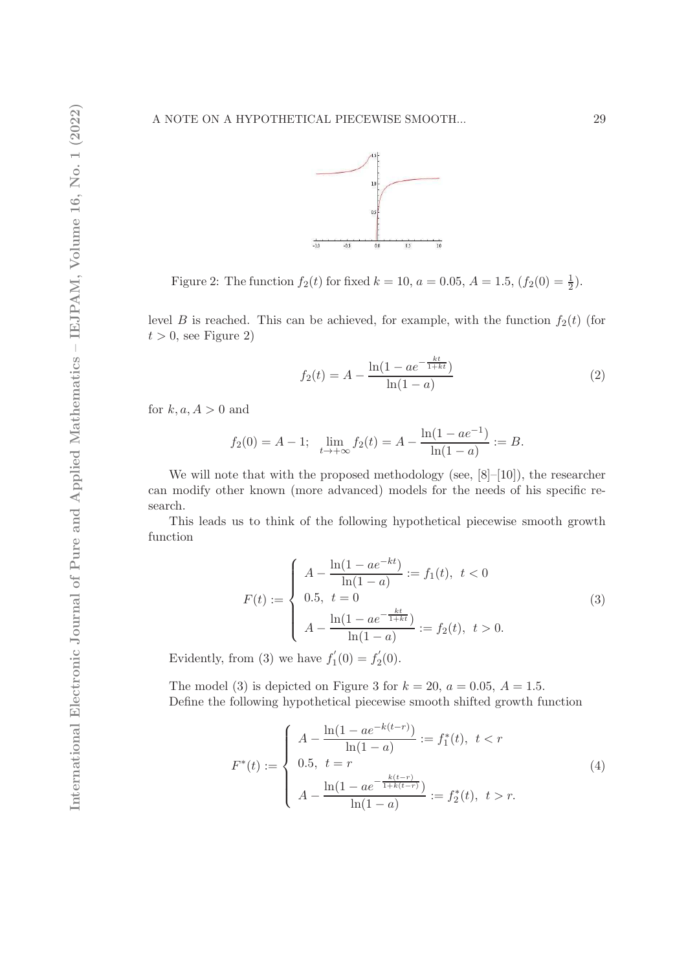

Figure 2: The function  $f_2(t)$  for fixed  $k = 10$ ,  $a = 0.05$ ,  $A = 1.5$ ,  $(f_2(0) = \frac{1}{2})$ .

level B is reached. This can be achieved, for example, with the function  $f_2(t)$  (for  $t > 0$ , see Figure 2)

$$
f_2(t) = A - \frac{\ln(1 - ae^{-\frac{kt}{1+kt}})}{\ln(1 - a)}
$$
\n(2)

for  $k, a, A > 0$  and

$$
f_2(0) = A - 1;
$$
  $\lim_{t \to +\infty} f_2(t) = A - \frac{\ln(1 - ae^{-1})}{\ln(1 - a)} := B.$ 

We will note that with the proposed methodology (see,  $[8]-[10]$ ), the researcher can modify other known (more advanced) models for the needs of his specific research.

This leads us to think of the following hypothetical piecewise smooth growth function

$$
F(t) := \begin{cases} A - \frac{\ln(1 - ae^{-kt})}{\ln(1 - a)} := f_1(t), \ t < 0 \\ 0.5, \ t = 0 \\ A - \frac{\ln(1 - ae^{-\frac{kt}{1 + kt}})}{\ln(1 - a)} := f_2(t), \ t > 0. \end{cases}
$$
(3)

Evidently, from (3) we have  $f_1'$  $f'_{1}(0) = f'_{2}$  $C_2^{\prime}(0)$ .

The model (3) is depicted on Figure 3 for  $k = 20$ ,  $a = 0.05$ ,  $A = 1.5$ . Define the following hypothetical piecewise smooth shifted growth function

$$
F^*(t) := \begin{cases} A - \frac{\ln(1 - ae^{-k(t-r)})}{\ln(1 - a)} := f_1^*(t), \ t < r \\ 0.5, \ t = r \\ A - \frac{\ln(1 - ae^{-\frac{k(t-r)}{1 + k(t-r)}})}{\ln(1 - a)} := f_2^*(t), \ t > r. \end{cases}
$$
(4)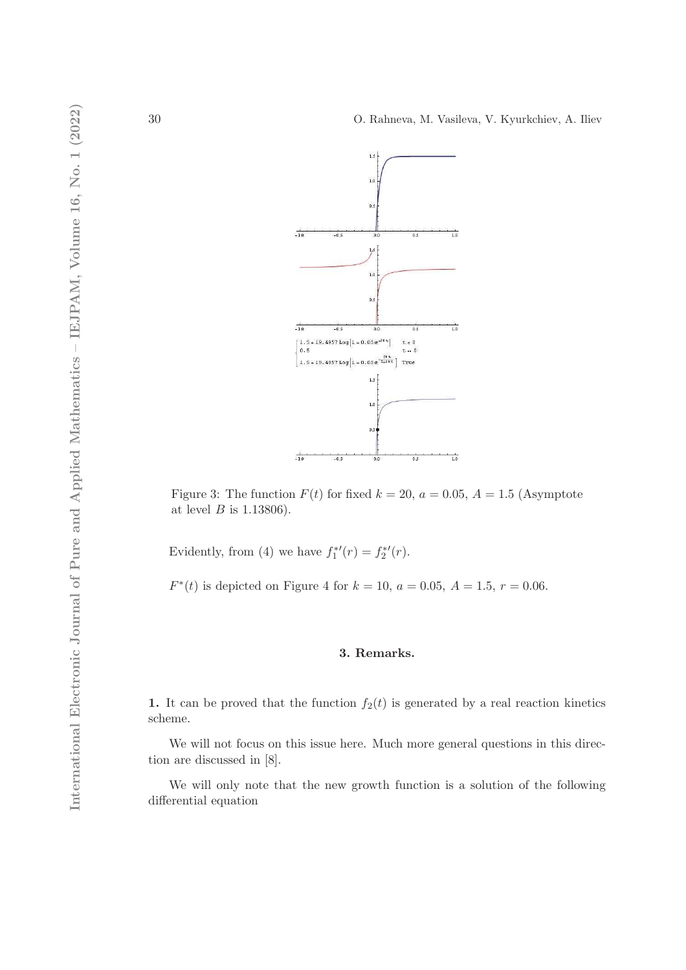

Figure 3: The function  $F(t)$  for fixed  $k = 20$ ,  $a = 0.05$ ,  $A = 1.5$  (Asymptote at level  $B$  is 1.13806).

Evidently, from (4) we have  $f_1^*$ 1  $'(\mathbf{r}) = f_2^*$ 2  $\prime(r).$ 

 $F^*(t)$  is depicted on Figure 4 for  $k = 10$ ,  $a = 0.05$ ,  $A = 1.5$ ,  $r = 0.06$ .

#### 3. Remarks.

1. It can be proved that the function  $f_2(t)$  is generated by a real reaction kinetics scheme.

We will not focus on this issue here. Much more general questions in this direction are discussed in [8].

We will only note that the new growth function is a solution of the following differential equation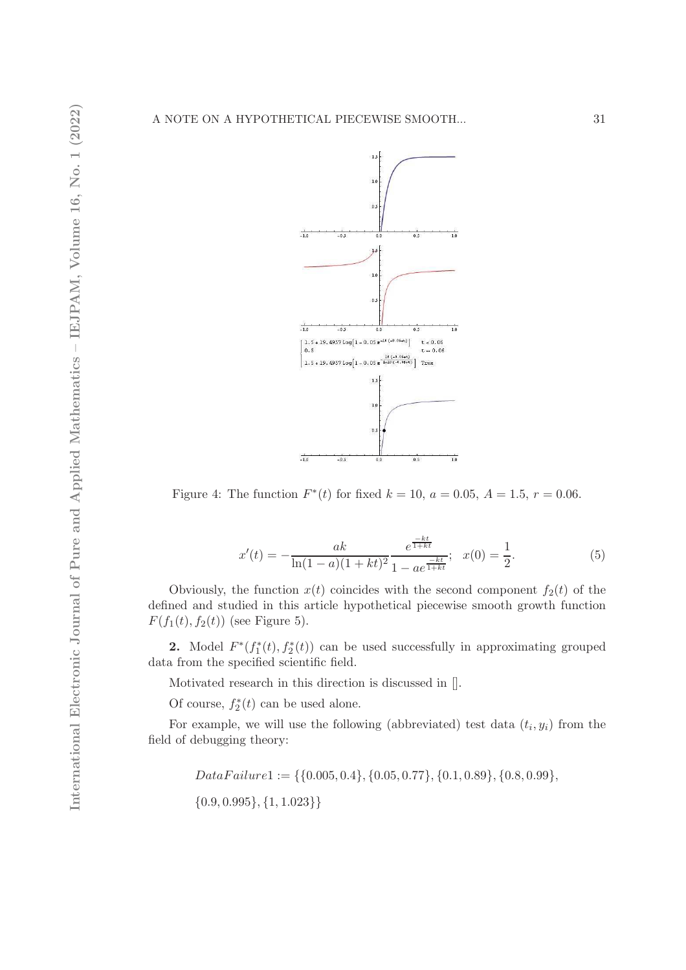

Figure 4: The function  $F^*(t)$  for fixed  $k = 10$ ,  $a = 0.05$ ,  $A = 1.5$ ,  $r = 0.06$ .

$$
x'(t) = -\frac{ak}{\ln(1-a)(1+kt)^2} \frac{e^{\frac{-kt}{1+kt}}}{1 - ae^{\frac{-kt}{1+kt}}}; \quad x(0) = \frac{1}{2}.
$$
 (5)

Obviously, the function  $x(t)$  coincides with the second component  $f_2(t)$  of the defined and studied in this article hypothetical piecewise smooth growth function  $F(f_1(t), f_2(t))$  (see Figure 5).

**2.** Model  $F^*(f_1^*)$  $T_1^*(t), f_2^*(t)$  can be used successfully in approximating grouped data from the specified scientific field.

Motivated research in this direction is discussed in [].

Of course,  $f_2^*$  $x_2^*(t)$  can be used alone.

For example, we will use the following (abbreviated) test data  $(t_i, y_i)$  from the field of debugging theory:

> $Data Failure1 := \{\{0.005, 0.4\}, \{0.05, 0.77\}, \{0.1, 0.89\}, \{0.8, 0.99\},\}$  $\{0.9, 0.995\}, \{1, 1.023\}\}$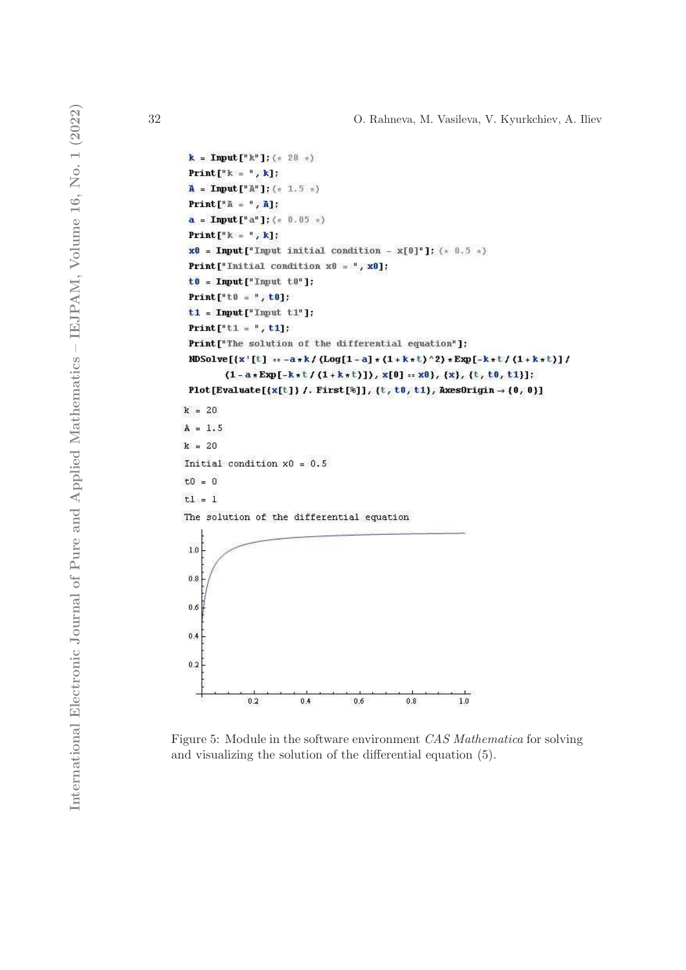```
k = Input [\n{\text{``k''}\}]; (* 20 *)
 Print [<sup>n</sup> k = <sup>n</sup>, k];
 A = Input["A"]; (* 1.5 *)
 Print [\nVert \mathbf{A} = \nVert \cdot \mathbf{A}];a = Input["a"]; (* 0.05 *)
 Print [<sup>n</sup> k = <sup>n</sup>, k];x0 = Input["Input initial condition - x[0]^n ; (* 0.5 *)
 Print["Initial condition x0 = ", x0]:
 t0 = Input["Input t0"]Print["t0 = ", t0];
 t1 = Input ["Input t1"];
 Print["t1 = ", t1];
 Print["The solution of the differential equation"];
NDSolve[{x'[t] := -a *k/(Log[1-a] * (1+k*t)^2) *Exp[-k*t/(1+k*t)]/
         (1 - a * Exp[-k * t / (1 + k * t)]), x[0] = x0, \{x\}, \{t, t0, t1\}:
Plot[Evaluate[\{x[t]\} /. First[%]], \{t, t0, t1\}, AxesOrigin \rightarrow {0, 0}]
k = 20A = 1.5k = 20Initial condition x0 = 0.5t0 = 0tl = 1The solution of the differential equation
1.00.80.60.40.20.20.40.60.81.0\,
```
Figure 5: Module in the software environment CAS Mathematica for solving and visualizing the solution of the differential equation (5).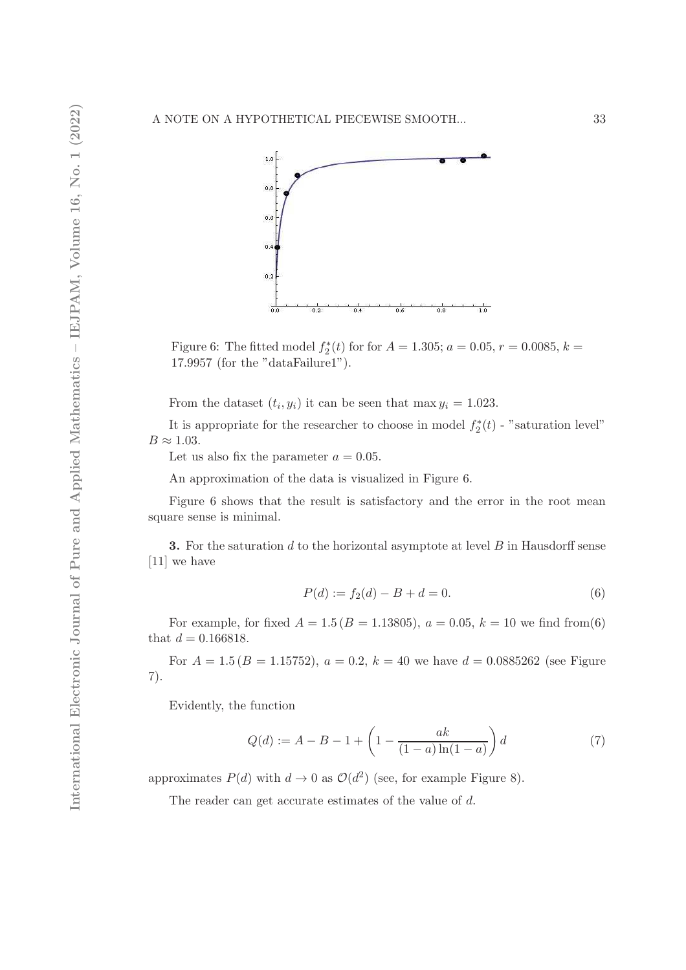

Figure 6: The fitted model  $f_2^*$  $x_2^*(t)$  for for  $A = 1.305; a = 0.05, r = 0.0085, k =$ 17.9957 (for the "dataFailure1").

From the dataset  $(t_i, y_i)$  it can be seen that max  $y_i = 1.023$ .

It is appropriate for the researcher to choose in model  $f_2^*$  $2(t)$  - "saturation level"  $B \approx 1.03$ .

Let us also fix the parameter  $a = 0.05$ .

An approximation of the data is visualized in Figure 6.

Figure 6 shows that the result is satisfactory and the error in the root mean square sense is minimal.

**3.** For the saturation d to the horizontal asymptote at level  $B$  in Hausdorff sense [11] we have

$$
P(d) := f_2(d) - B + d = 0.
$$
\n(6)

For example, for fixed  $A = 1.5 (B = 1.13805)$ ,  $a = 0.05$ ,  $k = 10$  we find from(6) that  $d = 0.166818$ .

For  $A = 1.5 (B = 1.15752), a = 0.2, k = 40$  we have  $d = 0.0885262$  (see Figure 7).

Evidently, the function

$$
Q(d) := A - B - 1 + \left(1 - \frac{ak}{(1-a)\ln(1-a)}\right)d\tag{7}
$$

approximates  $P(d)$  with  $d \to 0$  as  $\mathcal{O}(d^2)$  (see, for example Figure 8).

The reader can get accurate estimates of the value of d.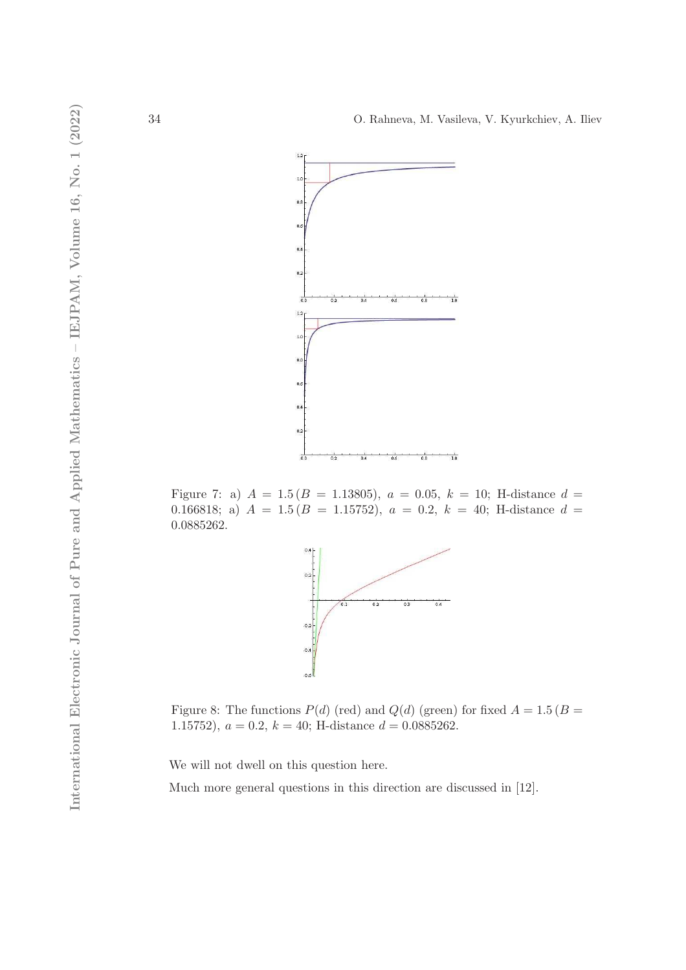

Figure 7: a)  $A = 1.5 (B = 1.13805), a = 0.05, k = 10;$  H-distance  $d =$ 0.166818; a)  $A = 1.5 (B = 1.15752), a = 0.2, k = 40;$  H-distance  $d =$ 0.0885262.



Figure 8: The functions  $P(d)$  (red) and  $Q(d)$  (green) for fixed  $A = 1.5$  ( $B =$ 1.15752),  $a = 0.2$ ,  $k = 40$ ; H-distance  $d = 0.0885262$ .

We will not dwell on this question here.

Much more general questions in this direction are discussed in [12].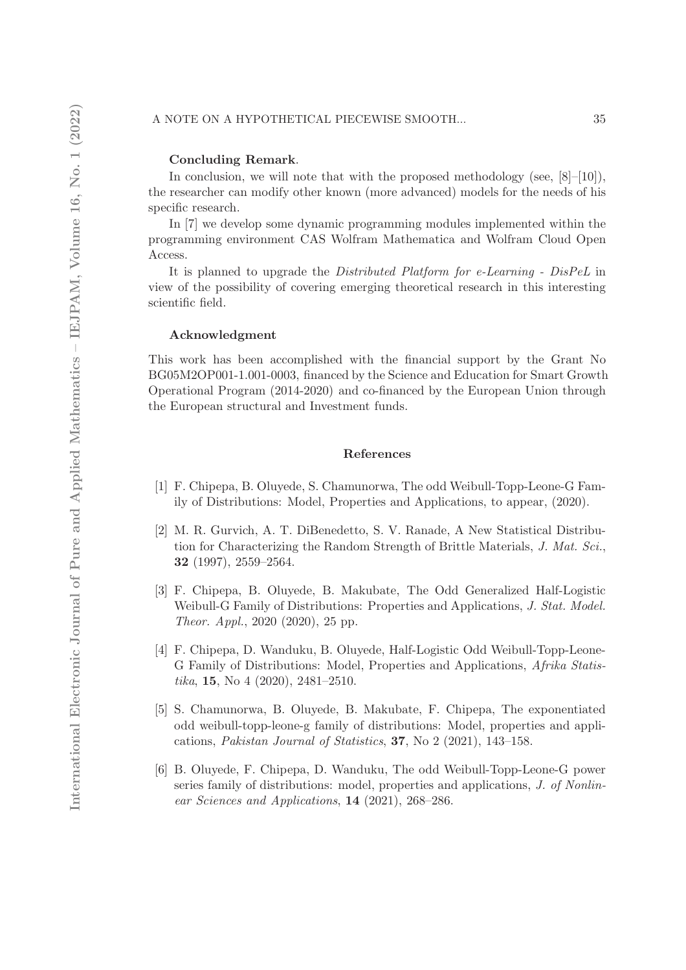#### Concluding Remark.

In conclusion, we will note that with the proposed methodology (see,  $[8]-[10]$ ), the researcher can modify other known (more advanced) models for the needs of his specific research.

In [7] we develop some dynamic programming modules implemented within the programming environment CAS Wolfram Mathematica and Wolfram Cloud Open Access.

It is planned to upgrade the *Distributed Platform for e-Learning - DisPeL* in view of the possibility of covering emerging theoretical research in this interesting scientific field.

#### Acknowledgment

This work has been accomplished with the financial support by the Grant No BG05M2OP001-1.001-0003, financed by the Science and Education for Smart Growth Operational Program (2014-2020) and co-financed by the European Union through the European structural and Investment funds.

#### References

- [1] F. Chipepa, B. Oluyede, S. Chamunorwa, The odd Weibull-Topp-Leone-G Family of Distributions: Model, Properties and Applications, to appear, (2020).
- [2] M. R. Gurvich, A. T. DiBenedetto, S. V. Ranade, A New Statistical Distribution for Characterizing the Random Strength of Brittle Materials, J. Mat. Sci., 32 (1997), 2559–2564.
- [3] F. Chipepa, B. Oluyede, B. Makubate, The Odd Generalized Half-Logistic Weibull-G Family of Distributions: Properties and Applications, J. Stat. Model. Theor. Appl., 2020 (2020), 25 pp.
- [4] F. Chipepa, D. Wanduku, B. Oluyede, Half-Logistic Odd Weibull-Topp-Leone-G Family of Distributions: Model, Properties and Applications, Afrika Statistika, 15, No 4 (2020), 2481–2510.
- [5] S. Chamunorwa, B. Oluyede, B. Makubate, F. Chipepa, The exponentiated odd weibull-topp-leone-g family of distributions: Model, properties and applications, Pakistan Journal of Statistics, 37, No 2 (2021), 143–158.
- [6] B. Oluyede, F. Chipepa, D. Wanduku, The odd Weibull-Topp-Leone-G power series family of distributions: model, properties and applications, J. of Nonlinear Sciences and Applications, 14 (2021), 268–286.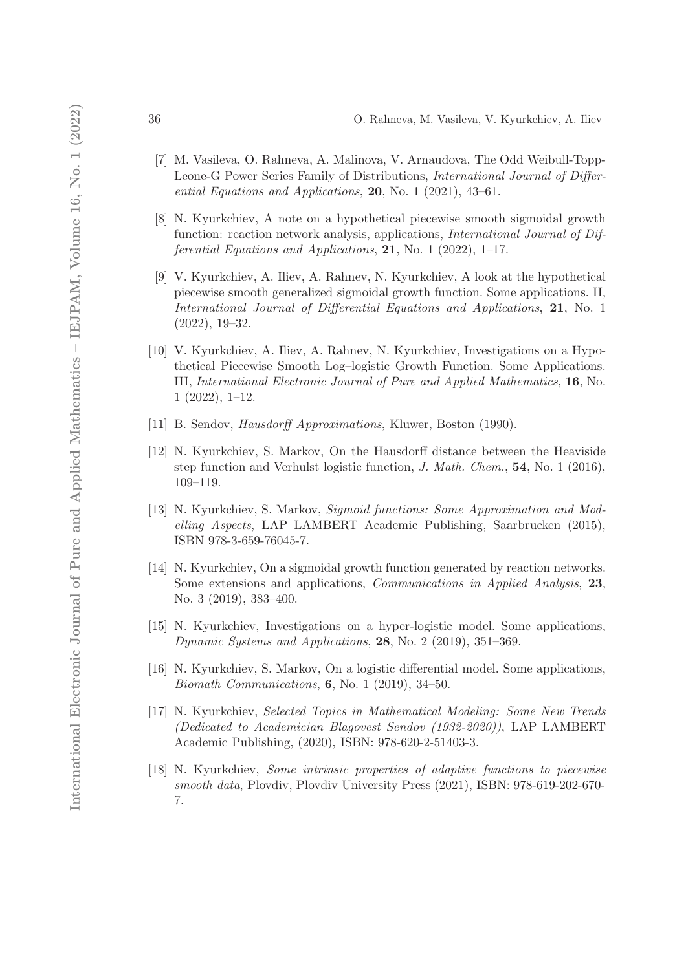- [7] M. Vasileva, O. Rahneva, A. Malinova, V. Arnaudova, The Odd Weibull-Topp-Leone-G Power Series Family of Distributions, International Journal of Differential Equations and Applications, 20, No. 1 (2021), 43–61.
- [8] N. Kyurkchiev, A note on a hypothetical piecewise smooth sigmoidal growth function: reaction network analysis, applications, *International Journal of Dif*ferential Equations and Applications,  $21$ , No. 1 (2022), 1-17.
- [9] V. Kyurkchiev, A. Iliev, A. Rahnev, N. Kyurkchiev, A look at the hypothetical piecewise smooth generalized sigmoidal growth function. Some applications. II, International Journal of Differential Equations and Applications, 21, No. 1 (2022), 19–32.
- [10] V. Kyurkchiev, A. Iliev, A. Rahnev, N. Kyurkchiev, Investigations on a Hypothetical Piecewise Smooth Log–logistic Growth Function. Some Applications. III, International Electronic Journal of Pure and Applied Mathematics, 16, No. 1 (2022), 1–12.
- [11] B. Sendov, Hausdorff Approximations, Kluwer, Boston (1990).
- [12] N. Kyurkchiev, S. Markov, On the Hausdorff distance between the Heaviside step function and Verhulst logistic function, J. Math. Chem., 54, No. 1 (2016), 109–119.
- [13] N. Kyurkchiev, S. Markov, Sigmoid functions: Some Approximation and Modelling Aspects, LAP LAMBERT Academic Publishing, Saarbrucken (2015), ISBN 978-3-659-76045-7.
- [14] N. Kyurkchiev, On a sigmoidal growth function generated by reaction networks. Some extensions and applications, Communications in Applied Analysis, 23, No. 3 (2019), 383–400.
- [15] N. Kyurkchiev, Investigations on a hyper-logistic model. Some applications, Dynamic Systems and Applications, 28, No. 2 (2019), 351–369.
- [16] N. Kyurkchiev, S. Markov, On a logistic differential model. Some applications, Biomath Communications, 6, No. 1 (2019), 34–50.
- [17] N. Kyurkchiev, Selected Topics in Mathematical Modeling: Some New Trends (Dedicated to Academician Blagovest Sendov (1932-2020)), LAP LAMBERT Academic Publishing, (2020), ISBN: 978-620-2-51403-3.
- [18] N. Kyurkchiev, Some intrinsic properties of adaptive functions to piecewise smooth data, Plovdiv, Plovdiv University Press (2021), ISBN: 978-619-202-670- 7.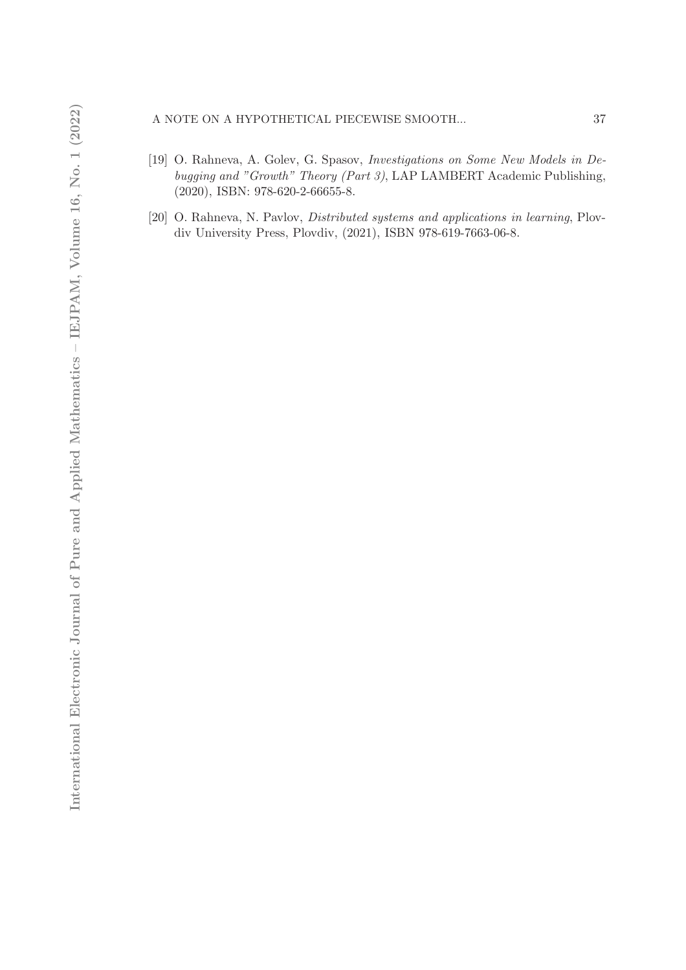## A NOTE ON A HYPOTHETICAL PIECEWISE SMOOTH... 37

- [19] O. Rahneva, A. Golev, G. Spasov, Investigations on Some New Models in Debugging and "Growth" Theory (Part 3), LAP LAMBERT Academic Publishing, (2020), ISBN: 978-620-2-66655-8.
- [20] O. Rahneva, N. Pavlov, *Distributed systems and applications in learning*, Plovdiv University Press, Plovdiv, (2021), ISBN 978-619-7663-06-8.